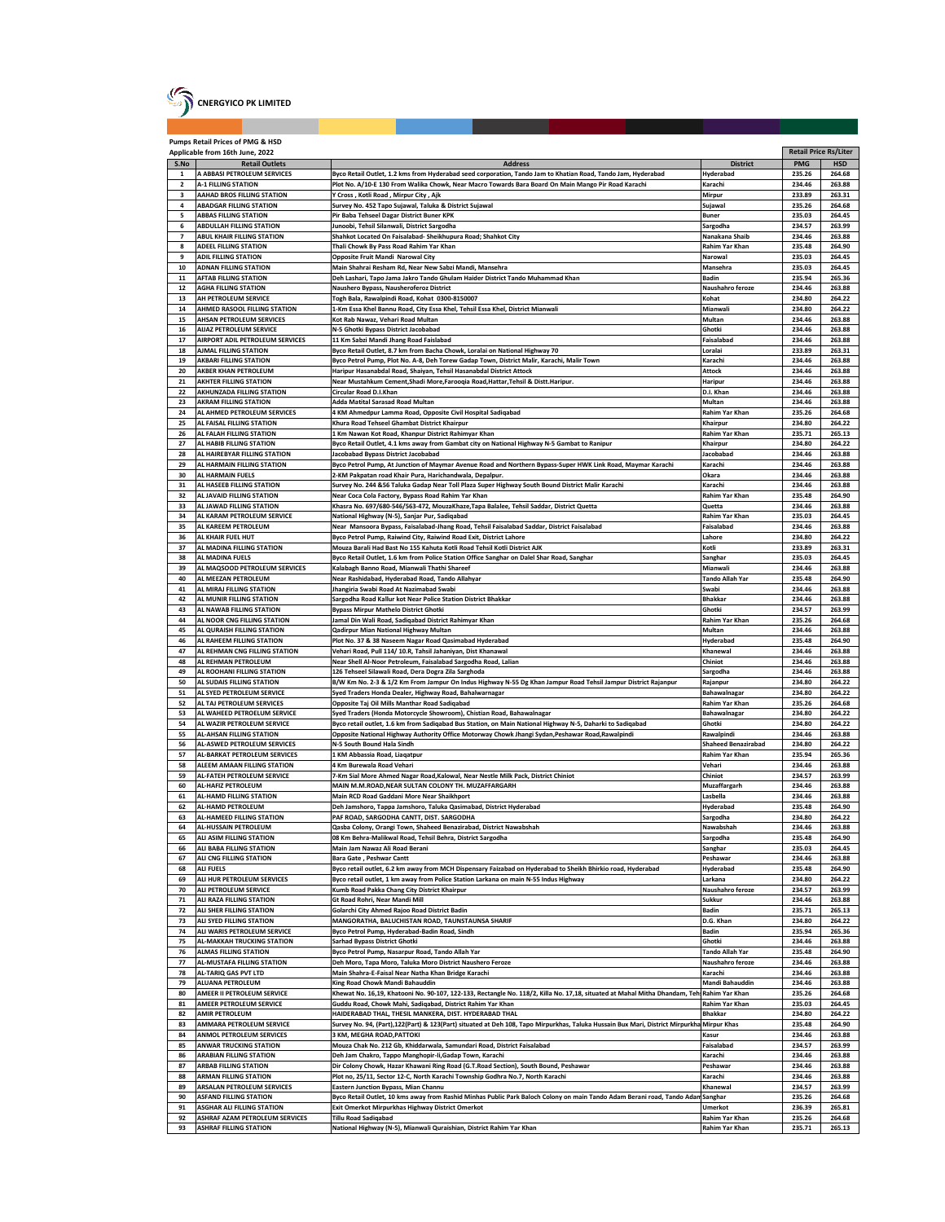|                      | <b>CNERGYICO PK LIMITED</b>                                        |                                                                                                                                                                                                         |                                            |                      |                              |
|----------------------|--------------------------------------------------------------------|---------------------------------------------------------------------------------------------------------------------------------------------------------------------------------------------------------|--------------------------------------------|----------------------|------------------------------|
|                      |                                                                    |                                                                                                                                                                                                         |                                            |                      |                              |
|                      | Pumps Retail Prices of PMG & HSD                                   |                                                                                                                                                                                                         |                                            |                      |                              |
|                      | Applicable from 16th June, 2022                                    |                                                                                                                                                                                                         |                                            |                      | <b>Retail Price Rs/Liter</b> |
| S.No<br>$\mathbf{1}$ | <b>Retail Outlets</b><br>A ABBASI PETROLEUM SERVICES               | <b>Address</b><br>Byco Retail Outlet, 1.2 kms from Hyderabad seed corporation, Tando Jam to Khatian Road, Tando Jam, Hyderabad                                                                          | <b>District</b><br><b>Hyderabad</b>        | <b>PMG</b><br>235.26 | <b>HSD</b><br>264.68         |
| $\mathbf{2}$         | <b>A-1 FILLING STATION</b>                                         | Plot No. A/10-E 130 From Walika Chowk, Near Macro Towards Bara Board On Main Mango Pir Road Karachi                                                                                                     | Karachi                                    | 234.46               | 263.88                       |
| 3                    | AAHAD BROS FILLING STATION                                         | Y Cross, Kotli Road, Mirpur City, Ajk                                                                                                                                                                   | Mirpur                                     | 233.89               | 263.31                       |
| 4<br>5               | <b>ABADGAR FILLING STATION</b><br><b>ABBAS FILLING STATION</b>     | Survey No. 452 Tapo Sujawal, Taluka & District Sujawal<br>Pir Baba Tehseel Dagar District Buner KPK                                                                                                     | Sujawal<br><b>Buner</b>                    | 235.26<br>235.03     | 264.68<br>264.45             |
| 6                    | <b>ABDULLAH FILLING STATION</b>                                    | Junoobi, Tehsil Silanwali, District Sargodha                                                                                                                                                            | Sargodha                                   | 234.57               | 263.99                       |
| 7<br>8               | <b>ABUL KHAIR FILLING STATION</b><br><b>ADEEL FILLING STATION</b>  | Shahkot Located On Faisalabad- Sheikhupura Road; Shahkot City<br>Thali Chowk By Pass Road Rahim Yar Khan                                                                                                | Nanakana Shaib<br>Rahim Yar Khan           | 234.46<br>235.48     | 263.88<br>264.90             |
| 9                    | <b>ADIL FILLING STATION</b>                                        | Opposite Fruit Mandi Narowal City                                                                                                                                                                       | Narowal                                    | 235.03               | 264.45                       |
| 10<br>${\bf 11}$     | <b>ADNAN FILLING STATION</b><br><b>AFTAB FILLING STATION</b>       | Main Shahrai Resham Rd, Near New Sabzi Mandi, Mansehra<br>Deh Lashari, Tapo Jama Jakro Tando Ghulam Haider District Tando Muhammad Khan                                                                 | Mansehra<br><b>Badin</b>                   | 235.03<br>235.94     | 264.45<br>265.36             |
| 12                   | <b>AGHA FILLING STATION</b>                                        | Naushero Bypass, Nausheroferoz District                                                                                                                                                                 | Naushahro feroze                           | 234.46               | 263.88                       |
| 13<br>${\bf 14}$     | AH PETROLEUM SERVICE<br>AHMED RASOOL FILLING STATION               | Togh Bala, Rawalpindi Road, Kohat 0300-8150007<br>1-Km Essa Khel Bannu Road, City Essa Khel, Tehsil Essa Khel, District Mianwali                                                                        | Kohat<br>Mianwali                          | 234.80<br>234.80     | 264.22<br>264.22             |
| 15                   | AHSAN PETROLEUM SERVICES                                           | Kot Rab Nawaz, Vehari Road Multan                                                                                                                                                                       | Multan                                     | 234.46               | 263.88                       |
| 16                   | <b>AIJAZ PETROLEUM SERVICE</b>                                     | N-5 Ghotki Bypass District Jacobabad                                                                                                                                                                    | Ghotki                                     | 234.46               | 263.88                       |
| 17<br>18             | AIRPORT ADIL PETROLEUM SERVICES<br><b>AJMAL FILLING STATION</b>    | 11 Km Sabzi Mandi Jhang Road Faislabad<br>Byco Retail Outlet, 8.7 km from Bacha Chowk, Loralai on National Highway 70                                                                                   | Faisalabad<br>Loralai                      | 234.46<br>233.89     | 263.88<br>263.31             |
| 19                   | <b>AKBARI FILLING STATION</b>                                      | Byco Petrol Pump, Plot No. A-8, Deh Torew Gadap Town, District Malir, Karachi, Malir Town                                                                                                               | Karachi                                    | 234.46               | 263.88                       |
| 20<br>21             | AKBER KHAN PETROLEUM<br><b>AKHTER FILLING STATION</b>              | Haripur Hasanabdal Road, Shaiyan, Tehsil Hasanabdal District Attock<br>Near Mustahkum Cement, Shadi More, Farooqia Road, Hattar, Tehsil & Distt. Haripur.                                               | <b>Attock</b><br>Haripur                   | 234.46<br>234.46     | 263.88<br>263.88             |
| 22                   | AKHUNZADA FILLING STATION                                          | Circular Road D.I.Khan                                                                                                                                                                                  | D.I. Khan                                  | 234.46               | 263.88                       |
| 23                   | <b>AKRAM FILLING STATION</b>                                       | <b>Adda Matital Sarasad Road Multan</b>                                                                                                                                                                 | Multan                                     | 234.46               | 263.88                       |
| 24<br>25             | AL AHMED PETROLEUM SERVICES<br>AL FAISAL FILLING STATION           | 4 KM Ahmedpur Lamma Road, Opposite Civil Hospital Sadiqabad<br>Khura Road Tehseel Ghambat District Khairpur                                                                                             | Rahim Yar Khan<br>Khairpur                 | 235.26<br>234.80     | 264.68<br>264.22             |
| 26                   | AL FALAH FILLING STATION                                           | 1 Km Nawan Kot Road, Khanpur District Rahimyar Khan                                                                                                                                                     | Rahim Yar Khan                             | 235.71               | 265.13                       |
| 27<br>28             | AL HABIB FILLING STATION<br>AL HAIREBYAR FILLING STATION           | Byco Retail Outlet, 4.1 kms away from Gambat city on National Highway N-5 Gambat to Ranipur<br>Jacobabad Bypass District Jacobabad                                                                      | Khairpur<br>Jacobabad                      | 234.80<br>234.46     | 264.22<br>263.88             |
| 29                   | AL HARMAIN FILLING STATION                                         | Byco Petrol Pump, At Junction of Maymar Avenue Road and Northern Bypass-Super HWK Link Road, Maymar Karachi                                                                                             | Karachi                                    | 234.46               | 263.88                       |
| 30                   | AL HARMAIN FUELS                                                   | 2-KM Pakpatan road Khair Pura, Harichandwala, Depalpur.                                                                                                                                                 | Okara                                      | 234.46               | 263.88                       |
| 31<br>32             | AL HASEEB FILLING STATION<br>AL JAVAID FILLING STATION             | Survey No. 244 &56 Taluka Gadap Near Toll Plaza Super Highway South Bound District Malir Karachi<br>Near Coca Cola Factory, Bypass Road Rahim Yar Khan                                                  | Karachi<br>Rahim Yar Khan                  | 234.46<br>235.48     | 263.88<br>264.90             |
| 33                   | AL JAWAD FILLING STATION                                           | Khasra No. 697/680-546/563-472, MouzaKhaze, Tapa Balalee, Tehsil Saddar, District Quetta                                                                                                                | Quetta                                     | 234.46               | 263.88                       |
| 34<br>35             | AL KARAM PETROLEUM SERVICE<br>AL KAREEM PETROLEUM                  | National Highway (N-5), Sanjar Pur, Sadiqabad<br>Near Mansoora Bypass, Faisalabad-Jhang Road, Tehsil Faisalabad Saddar, District Faisalabad                                                             | Rahim Yar Khan<br>Faisalabad               | 235.03<br>234.46     | 264.45<br>263.88             |
| 36                   | AL KHAIR FUEL HUT                                                  | Byco Petrol Pump, Raiwind City, Raiwind Road Exit, District Lahore                                                                                                                                      | Lahore                                     | 234.80               | 264.22                       |
| 37                   | AL MADINA FILLING STATION                                          | Mouza Barali Had Bast No 155 Kahuta Kotli Road Tehsil Kotli District AJK                                                                                                                                | Kotli                                      | 233.89               | 263.31                       |
| 38<br>39             | AL MADINA FUELS<br>AL MAQSOOD PETROLEUM SERVICES                   | Byco Retail Outlet, 1.6 km from Police Station Office Sanghar on Dalel Shar Road, Sanghar<br>Kalabagh Banno Road, Mianwali Thathi Shareef                                                               | Sanghar<br>Mianwali                        | 235.03<br>234.46     | 264.45<br>263.88             |
| 40                   | AL MEEZAN PETROLEUM                                                | Near Rashidabad, Hyderabad Road, Tando Allahvar                                                                                                                                                         | <b>Tando Allah Yar</b>                     | 235.48               | 264.90                       |
| 41<br>42             | AL MIRAJ FILLING STATION<br>AL MUNIR FILLING STATION               | Jhangiria Swabi Road At Nazimabad Swabi<br>Sargodha Road Kallur kot Near Police Station District Bhakkar                                                                                                | Swabi<br><b>Bhakka</b>                     | 234.46<br>234.46     | 263.88<br>263.88             |
| 43                   | AL NAWAB FILLING STATION                                           | <b>Bypass Mirpur Mathelo District Ghotki</b>                                                                                                                                                            | Ghotki                                     | 234.57               | 263.99                       |
| 44                   | AL NOOR CNG FILLING STATION                                        | Jamal Din Wali Road, Sadiqabad District Rahimyar Khan                                                                                                                                                   | Rahim Yar Khan                             | 235.26               | 264.68                       |
| 45<br>46             | AL QURAISH FILLING STATION<br>AL RAHEEM FILLING STATION            | Qadirpur Mian National Highway Multan<br>Plot No. 37 & 38 Naseem Nagar Road Qasimabad Hyderabad                                                                                                         | Multan<br>Hyderabad                        | 234.46<br>235.48     | 263.88<br>264.90             |
| 47                   | AL REHMAN CNG FILLING STATION                                      | Vehari Road, Pull 114/ 10.R, Tahsil Jahaniyan, Dist Khanawal                                                                                                                                            | Khanewal                                   | 234.46               | 263.88                       |
| 48<br>49             | AL REHMAN PETROLEUM<br>AL ROOHANI FILLING STATION                  | Near Shell Al-Noor Petroleum, Faisalabad Sargodha Road, Lalian<br>126 Tehseel Silawali Road, Dera Dogra Zila Sarghoda                                                                                   | Chiniot<br>Sargodha                        | 234.46<br>234.46     | 263.88<br>263.88             |
| 50                   | AL SUDAIS FILLING STATION                                          | B/W Km No. 2-3 & 1/2 Km From Jampur On Indus Highway N-55 Dg Khan Jampur Road Tehsil Jampur District Rajanpur                                                                                           | Rajanpur                                   | 234.80               | 264.22                       |
| 51<br>52             | AL SYED PETROLEUM SERVICE<br>AL TAJ PETROLEUM SERVICES             | Syed Traders Honda Dealer, Highway Road, Bahalwarnagar<br>Opposite Taj Oil Mills Manthar Road Sadiqabad                                                                                                 | Bahawalnagar<br>Rahim Yar Khan             | 234.80<br>235.26     | 264.22<br>264.68             |
| 53                   | AL WAHEED PETROELUM SERVICE                                        | Syed Traders (Honda Motorcycle Showroom), Chistian Road, Bahawalnagar                                                                                                                                   | Bahawalnagar                               | 234.80               | 264.22                       |
| 54                   | AL WAZIR PETROLEUM SERVICE                                         | Byco retail outlet, 1.6 km from Sadiqabad Bus Station, on Main National Highway N-5, Daharki to Sadiqabad                                                                                               | Ghotki                                     | 234.80               | 264.22                       |
| 55<br>56             | <b>AL-AHSAN FILLING STATION</b><br>AL-ASWED PETROLEUM SERVICES     | Opposite National Highway Authority Office Motorway Chowk Jhangi Sydan, Peshawar Road, Rawalpindi<br>N-5 South Bound Hala Sindh                                                                         | Rawalpindi<br><b>Shaheed Benazirabad</b>   | 234.46<br>234.80     | 263.88<br>264.22             |
| 57                   | AL-BARKAT PETROLEUM SERVICES                                       | 1 KM Abbassia Road, Liagatpur                                                                                                                                                                           | Rahim Yar Khan                             | 235.94               | 265.36                       |
| 58<br>59             | ALEEM AMAAN FILLING STATION                                        | 4 Km Burewala Road Vehari<br>7-Km Sial More Ahmed Nagar Road, Kalowal, Near Nestle Milk Pack, District Chiniot                                                                                          | Vehari<br>Chiniot                          | 234.46<br>234.57     | 263.88<br>263.99             |
| 60                   | AL-FATEH PETROLEUM SERVICE<br>AL-HAFIZ PETROLEUM                   | MAIN M.M.ROAD, NEAR SULTAN COLONY TH. MUZAFFARGARH                                                                                                                                                      | Muzaffargarh                               | 234.46               | 263.88                       |
| 61                   | <b>AL-HAMD FILLING STATION</b>                                     | Main RCD Road Gaddani More Near Shaikhport                                                                                                                                                              | Lasbella                                   | 234.46               | 263.88                       |
| 62<br>63             | AL-HAMD PETROLEUM<br>AL-HAMEED FILLING STATION                     | Deh Jamshoro, Tappa Jamshoro, Taluka Qasimabad, District Hyderabad<br>PAF ROAD, SARGODHA CANTT, DIST. SARGODHA                                                                                          | Hyderabad<br>Sargodha                      | 235.48<br>234.80     | 264.90<br>264.22             |
| 64                   | <b>AL-HUSSAIN PETROLEUM</b>                                        | Qasba Colony, Orangi Town, Shaheed Benazirabad, District Nawabshah                                                                                                                                      | Nawabshah                                  | 234.46               | 263.88                       |
| 65<br>66             | ALI ASIM FILLING STATION<br>ALI BABA FILLING STATION               | 08 Km Behra-Malikwal Road, Tehsil Behra, District Sargodha<br>Main Jam Nawaz Ali Road Berani                                                                                                            | Sargodha<br>Sanghar                        | 235.48<br>235.03     | 264.90<br>264.45             |
| 67                   | ALI CNG FILLING STATION                                            | Bara Gate, Peshwar Cantt                                                                                                                                                                                | Peshawar                                   | 234.46               | 263.88                       |
| 68                   | <b>ALI FUELS</b>                                                   | Byco retail outlet, 6.2 km away from MCH Dispensary Faizabad on Hyderabad to Sheikh Bhirkio road, Hyderabad                                                                                             | Hyderabad                                  | 235.48               | 264.90                       |
| 69<br>70             | ALI HUR PETROLEUM SERVICES<br>ALI PETROLEUM SERVICE                | Byco retail outlet, 1 km away from Police Station Larkana on main N-55 Indus Highway<br>Kumb Road Pakka Chang City District Khairpur                                                                    | Larkana<br>Naushahro feroze                | 234.80<br>234.57     | 264.22<br>263.99             |
| 71                   | ALI RAZA FILLING STATION                                           | Gt Road Rohri, Near Mandi Mill                                                                                                                                                                          | Sukkur                                     | 234.46               | 263.88                       |
| 72                   | ALI SHER FILLING STATION                                           | Golarchi City Ahmed Rajoo Road District Badin                                                                                                                                                           | Badin                                      | 235.71               | 265.13                       |
| 73<br>74             | ALI SYED FILLING STATION<br>ALI WARIS PETROLEUM SERVICE            | MANGORATHA, BALUCHISTAN ROAD, TAUNSTAUNSA SHARIF<br>Byco Petrol Pump, Hyderabad-Badin Road, Sindh                                                                                                       | D.G. Khan<br>Badin                         | 234.80<br>235.94     | 264.22<br>265.36             |
| 75                   | <b>AL-MAKKAH TRUCKING STATION</b>                                  | <b>Sarhad Bypass District Ghotki</b>                                                                                                                                                                    | Ghotki                                     | 234.46               | 263.88                       |
| 76<br>77             | <b>ALMAS FILLING STATION</b><br>AL-MUSTAFA FILLING STATION         | Byco Petrol Pump, Nasarpur Road, Tando Allah Yar<br>Deh Moro, Tapa Moro, Taluka Moro District Naushero Feroze                                                                                           | <b>Tando Allah Yar</b><br>Naushahro feroze | 235.48<br>234.46     | 264.90<br>263.88             |
| 78                   | AL-TARIQ GAS PVT LTD                                               | Main Shahra-E-Faisal Near Natha Khan Bridge Karachi                                                                                                                                                     | Karachi                                    | 234.46               | 263.88                       |
| 79                   | <b>ALUANA PETROLEUM</b>                                            | King Road Chowk Mandi Bahauddin                                                                                                                                                                         | Mandi Bahauddin                            | 234.46               | 263.88                       |
| 80<br>81             | AMEER II PETROLEUM SERVICE<br>AMEER PETROLEUM SERVICE              | Khewat No. 16,19, Khatooni No. 90-107, 122-133, Rectangle No. 118/2, Killa No. 17,18, situated at Mahal Mitha Dhandam, Teh Rahim Yar Khan<br>Guddu Road, Chowk Mahi, Sadiqabad, District Rahim Yar Khan | Rahim Yar Khan                             | 235.26<br>235.03     | 264.68<br>264.45             |
| 82                   | <b>AMIR PETROLEUM</b>                                              | HAIDERABAD THAL, THESIL MANKERA, DIST. HYDERABAD THAL                                                                                                                                                   | <b>Bhakkar</b>                             | 234.80               | 264.22                       |
| 83<br>84             | AMMARA PETROLEUM SERVICE<br><b>ANMOL PETROLEUM SERVICES</b>        | Survey No. 94, (Part),122(Part) & 123(Part) situated at Deh 108, Tapo Mirpurkhas, Taluka Hussain Bux Mari, District Mirpurkha Mirpur Khas<br>3 KM, MEGHA ROAD, PATTOKI                                  | Kasur                                      | 235.48<br>234.46     | 264.90<br>263.88             |
| 85                   | <b>ANWAR TRUCKING STATION</b>                                      | Mouza Chak No. 212 Gb, Khiddarwala, Samundari Road, District Faisalabad                                                                                                                                 | Faisalabad                                 | 234.57               | 263.99                       |
| 86                   | <b>ARABIAN FILLING STATION</b>                                     | Deh Jam Chakro, Tappo Manghopir-Ii, Gadap Town, Karachi                                                                                                                                                 | Karachi                                    | 234.46               | 263.88                       |
| 87<br>88             | <b>ARBAB FILLING STATION</b><br><b>ARMAN FILLING STATION</b>       | Dir Colony Chowk, Hazar Khawani Ring Road (G.T.Road Section), South Bound, Peshawar<br>Plot no, 25/11, Sector 12-C, North Karachi Township Godhra No.7, North Karachi                                   | Peshawar<br>Karachi                        | 234.46<br>234.46     | 263.88<br>263.88             |
| 89                   | <b>ARSALAN PETROLEUM SERVICES</b>                                  | <b>Eastern Junction Bypass, Mian Channu</b>                                                                                                                                                             | Khanewal                                   | 234.57               | 263.99                       |
| 90<br>91             | <b>ASFAND FILLING STATION</b><br><b>ASGHAR ALI FILLING STATION</b> | Byco Retail Outlet, 10 kms away from Rashid Minhas Public Park Baloch Colony on main Tando Adam Berani road, Tando Adar<br>Exit Omerkot Mirpurkhas Highway District Omerkot                             | Sanghar<br>Umerkot                         | 235.26<br>236.39     | 264.68<br>265.81             |
| 92                   | ASHRAF AZAM PETROLEUM SERVICES                                     | <b>Tillu Road Sadigabad</b>                                                                                                                                                                             | <b>Rahim Yar Khan</b>                      | 235.26               | 264.68                       |
| 93                   | <b>ASHRAF FILLING STATION</b>                                      | National Highway (N-5), Mianwali Quraishian, District Rahim Yar Khan                                                                                                                                    | Rahim Yar Khan                             | 235.71               | 265.13                       |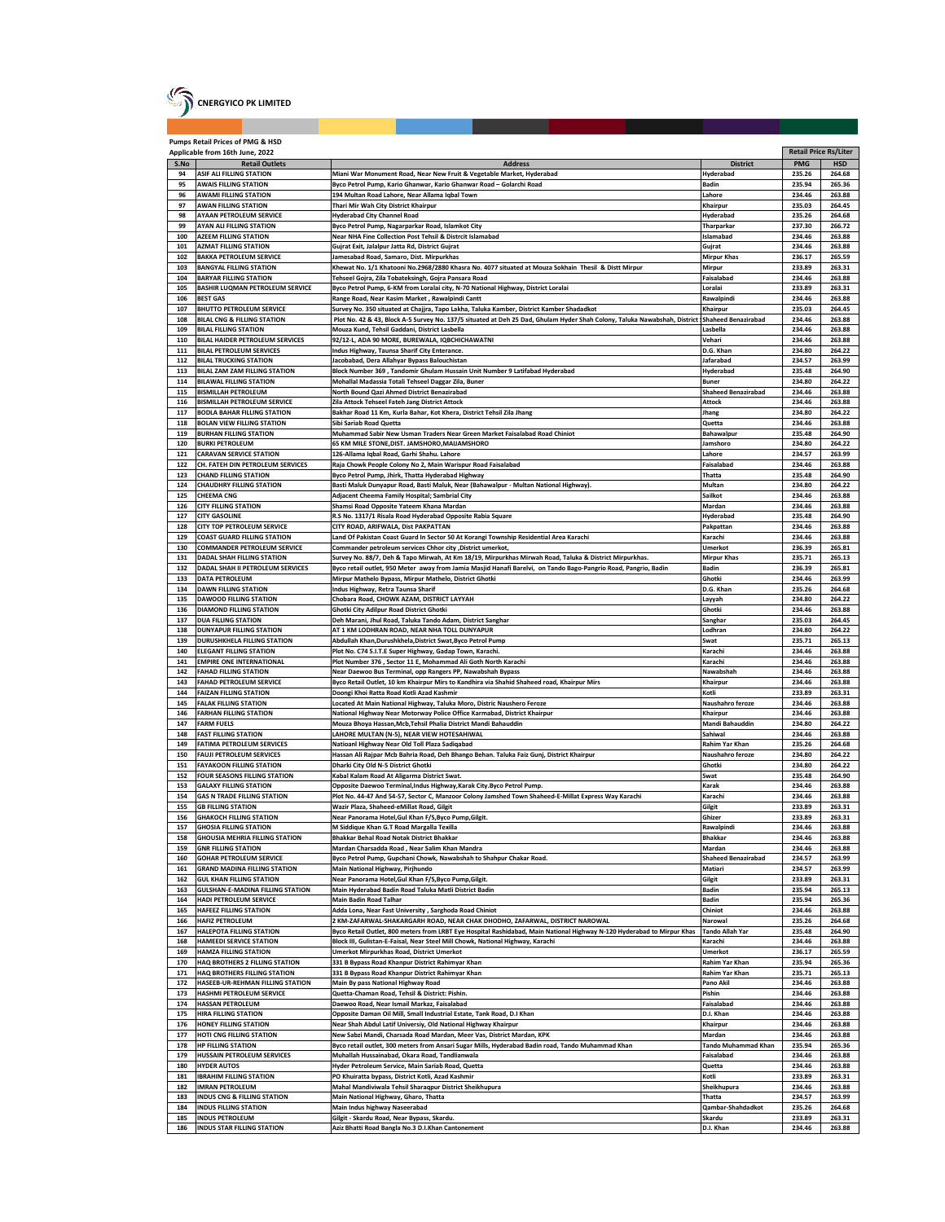|            | <b>CNERGYICO PK LIMITED</b>                                            |                                                                                                                                                                                                |                                      |                  |                              |
|------------|------------------------------------------------------------------------|------------------------------------------------------------------------------------------------------------------------------------------------------------------------------------------------|--------------------------------------|------------------|------------------------------|
|            | Pumps Retail Prices of PMG & HSD                                       |                                                                                                                                                                                                |                                      |                  |                              |
|            | Applicable from 16th June, 2022                                        |                                                                                                                                                                                                |                                      |                  | <b>Retail Price Rs/Liter</b> |
| S.No       | <b>Retail Outlets</b>                                                  | <b>Address</b>                                                                                                                                                                                 | <b>District</b>                      | PMG              | <b>HSD</b>                   |
| 94         | <b>ASIF ALI FILLING STATION</b>                                        | Miani War Monument Road, Near New Fruit & Vegetable Market, Hyderabad                                                                                                                          | Hyderabad                            | 235.26           | 264.68                       |
| 95<br>96   | <b>AWAIS FILLING STATION</b><br><b>AWAMI FILLING STATION</b>           | Byco Petrol Pump, Kario Ghanwar, Kario Ghanwar Road - Golarchi Road<br>194 Multan Road Lahore, Near Allama Iqbal Town                                                                          | Badin<br>Lahore                      | 235.94<br>234.46 | 265.36<br>263.88             |
| 97         | <b>AWAN FILLING STATION</b>                                            | Thari Mir Wah City District Khairpur                                                                                                                                                           | Khairpur                             | 235.03           | 264.45                       |
| 98         | <b>AYAAN PETROLEUM SERVICE</b>                                         | <b>Hyderabad City Channel Road</b>                                                                                                                                                             | Hyderabad                            | 235.26           | 264.68                       |
| 99         | <b>AYAN ALI FILLING STATION</b>                                        | Byco Petrol Pump, Nagarparkar Road, Islamkot City                                                                                                                                              | Tharparkar                           | 237.30           | 266.72                       |
| 100        | <b>AZEEM FILLING STATION</b>                                           | Near NHA Fine Collection Post Tehsil & Distrcit Islamabad                                                                                                                                      | Islamabad                            | 234.46           | 263.88                       |
| 101<br>102 | <b>AZMAT FILLING STATION</b><br><b>BAKKA PETROLEUM SERVICE</b>         | Gujrat Exit, Jalalpur Jatta Rd, District Gujrat                                                                                                                                                | Guirat                               | 234.46           | 263.88                       |
| 103        | <b>BANGYAL FILLING STATION</b>                                         | Jamesabad Road, Samaro, Dist. Mirpurkhas<br>Khewat No. 1/1 Khatooni No.2968/2880 Khasra No. 4077 situated at Mouza Sokhain Thesil & Distt Mirpur                                               | <b>Mirpur Khas</b><br>Mirpur         | 236.17<br>233.89 | 265.59<br>263.31             |
| 104        | <b>BARYAR FILLING STATION</b>                                          | Tehseel Gojra, Zila Tobateksingh, Gojra Pansara Road                                                                                                                                           | Faisalabad                           | 234.46           | 263.88                       |
| 105        | <b>BASHIR LUQMAN PETROLEUM SERVICE</b>                                 | Byco Petrol Pump, 6-KM from Loralai city, N-70 National Highway, District Loralai                                                                                                              | Loralai                              | 233.89           | 263.31                       |
| 106        | <b>BEST GAS</b>                                                        | Range Road, Near Kasim Market, Rawalpindi Cantt                                                                                                                                                | Rawalpindi                           | 234.46           | 263.88                       |
| 107        | <b>BHUTTO PETROLEUM SERVICE</b>                                        | Survey No. 350 situated at Chajjra, Tapo Lakha, Taluka Kamber, District Kamber Shadadkot                                                                                                       | Khairpur                             | 235.03           | 264.45                       |
| 108<br>109 | <b>BILAL CNG &amp; FILLING STATION</b><br><b>BILAL FILLING STATION</b> | Plot No. 42 & 43, Block A-5 Survey No. 137/5 situated at Deh 25 Dad, Ghulam Hyder Shah Colony, Taluka Nawabshah, District Shaheed Benazirabad<br>Mouza Kund, Tehsil Gaddani, District Lasbella | Lasbella                             | 234.46<br>234.46 | 263.88<br>263.88             |
| 110        | <b>BILAL HAIDER PETROLEUM SERVICES</b>                                 | 92/12-L, ADA 90 MORE, BUREWALA, IQBCHICHAWATNI                                                                                                                                                 | Vehari                               | 234.46           | 263.88                       |
| 111        | <b>BILAL PETROLEUM SERVICES</b>                                        | Indus Highway, Taunsa Sharif City Enterance.                                                                                                                                                   | D.G. Khan                            | 234.80           | 264.22                       |
| 112        | <b>BILAL TRUCKING STATION</b>                                          | Jacobabad, Dera Allahyar Bypass Balouchistan                                                                                                                                                   | Jafarabad                            | 234.57           | 263.99                       |
| 113        | BILAL ZAM ZAM FILLING STATION                                          | Block Number 369, Tandomir Ghulam Hussain Unit Number 9 Latifabad Hyderabad                                                                                                                    | Hyderabad                            | 235.48           | 264.90                       |
| 114        | <b>BILAWAL FILLING STATION</b>                                         | Mohallal Madassia Totali Tehseel Daggar Zila, Buner                                                                                                                                            | <b>Buner</b>                         | 234.80           | 264.22                       |
| 115<br>116 | <b>BISMILLAH PETROLEUM</b><br><b>BISMILLAH PETROLEUM SERVICE</b>       | North Bound Qazi Ahmed District Benazirabad<br>Zila Attock Tehseel Fateh Jang District Attock                                                                                                  | <b>Shaheed Benazirabad</b><br>Attock | 234.46<br>234.46 | 263.88<br>263.88             |
| 117        | <b>BODLA BAHAR FILLING STATION</b>                                     | Bakhar Road 11 Km, Kurla Bahar, Kot Khera, District Tehsil Zila Jhang                                                                                                                          | Jhang                                | 234.80           | 264.22                       |
| 118        | <b>BOLAN VIEW FILLING STATION</b>                                      | Sibi Sariab Road Ouetta                                                                                                                                                                        | <b>Quetta</b>                        | 234.46           | 263.88                       |
| 119        | <b>BURHAN FILLING STATION</b>                                          | Muhammad Sabir New Usman Traders Near Green Market Faisalabad Road Chiniot                                                                                                                     | Bahawalpur                           | 235.48           | 264.90                       |
| 120        | <b>BURKI PETROLEUM</b>                                                 | 65 KM MILE STONE.DIST. JAMSHORO.MAIJAMSHORO                                                                                                                                                    | Jamshoro                             | 234.80           | 264.22                       |
| 121        | <b>CARAVAN SERVICE STATION</b>                                         | 126-Allama Iqbal Road, Garhi Shahu. Lahore                                                                                                                                                     | Lahore                               | 234.57           | 263.99                       |
| 122<br>123 | CH. FATEH DIN PETROLEUM SERVICES<br><b>CHAND FILLING STATION</b>       | Raja Chowk People Colony No 2, Main Warispur Road Faisalabad<br>Byco Petrol Pump, Jhirk, Thatta Hyderabad Highway                                                                              | Faisalabad<br>Thatta                 | 234.46<br>235.48 | 263.88<br>264.90             |
| 124        | <b>CHAUDHRY FILLING STATION</b>                                        | Basti Maluk Dunyapur Road, Basti Maluk, Near (Bahawalpur - Multan National Highway).                                                                                                           | Multan                               | 234.80           | 264.22                       |
| 125        | <b>CHEEMA CNG</b>                                                      | Adjacent Cheema Family Hospital; Sambrial City                                                                                                                                                 | Sailkot                              | 234.46           | 263.88                       |
| 126        | <b>CITY FILLING STATION</b>                                            | Shamsi Road Opposite Yateem Khana Mardan                                                                                                                                                       | Mardan                               | 234.46           | 263.88                       |
| 127        | <b>CITY GASOLINE</b>                                                   | R.S No. 1317/1 Risala Road Hyderabad Opposite Rabia Square                                                                                                                                     | Hyderabad                            | 235.48           | 264.90                       |
| 128        | CITY TOP PETROLEUM SERVICE                                             | CITY ROAD, ARIFWALA, Dist PAKPATTAN                                                                                                                                                            | Pakpattan                            | 234.46           | 263.88                       |
| 129<br>130 | <b>COAST GUARD FILLING STATION</b><br>COMMANDER PETROLEUM SERVICE      | Land Of Pakistan Coast Guard In Sector 50 At Korangi Township Residential Area Karachi<br>Commander petroleum services Chhor city , District umerkot,                                          | Karachi<br>Umerkot                   | 234.46<br>236.39 | 263.88<br>265.81             |
| 131        | <b>DADAL SHAH FILLING STATION</b>                                      | Survey No. 88/7, Deh & Tapo Mirwah, At Km 18/19, Mirpurkhas Mirwah Road, Taluka & District Mirpurkhas.                                                                                         | <b>Mirpur Khas</b>                   | 235.71           | 265.13                       |
| 132        | DADAL SHAH II PETROLEUM SERVICES                                       | Byco retail outlet, 950 Meter away from Jamia Masjid Hanafi Barelvi, on Tando Bago-Pangrio Road, Pangrio, Badin                                                                                | Badin                                | 236.39           | 265.81                       |
| 133        | <b>DATA PETROLEUM</b>                                                  | Mirpur Mathelo Bypass, Mirpur Mathelo, District Ghotki                                                                                                                                         | Ghotki                               | 234.46           | 263.99                       |
| 134        | <b>DAWN FILLING STATION</b>                                            | Indus Highway, Retra Taunsa Sharif                                                                                                                                                             | D.G. Khan                            | 235.26           | 264.68                       |
| 135        | <b>DAWOOD FILLING STATION</b>                                          | Chobara Road, CHOWK AZAM, DISTRICT LAYYAH                                                                                                                                                      | Layyah                               | 234.80           | 264.22                       |
| 136        | <b>DIAMOND FILLING STATION</b>                                         | Ghotki City Adilpur Road District Ghotki                                                                                                                                                       | Ghotki                               | 234.46           | 263.88                       |
| 137<br>138 | <b>DUA FILLING STATION</b><br><b>DUNYAPUR FILLING STATION</b>          | Deh Marani, Jhul Road, Taluka Tando Adam, District Sanghar<br>AT 1 KM LODHRAN ROAD, NEAR NHA TOLL DUNYAPUR                                                                                     | Sanghar<br>Lodhran                   | 235.03<br>234.80 | 264.45<br>264.22             |
| 139        | DURUSHKHELA FILLING STATION                                            | Abdullah Khan, Durushkhela, District Swat, Byco Petrol Pump                                                                                                                                    | Swat                                 | 235.71           | 265.13                       |
| 140        | <b>ELEGANT FILLING STATION</b>                                         | Plot No. C74 S.I.T.E Super Highway, Gadap Town, Karachi.                                                                                                                                       | Karachi                              | 234.46           | 263.88                       |
| 141        | <b>EMPIRE ONE INTERNATIONAL</b>                                        | Plot Number 376, Sector 11 E, Mohammad Ali Goth North Karachi                                                                                                                                  | Karachi                              | 234.46           | 263.88                       |
| 142        | <b>FAHAD FILLING STATION</b>                                           | Near Daewoo Bus Terminal, opp Rangers PP, Nawabshah Bypass                                                                                                                                     | Nawabshah                            | 234.46           | 263.88                       |
| 143<br>144 | <b>FAHAD PETROLEUM SERVICE</b>                                         | Byco Retail Outlet, 10 km Khairpur Mirs to Kandhira via Shahid Shaheed road, Khairpur Mirs                                                                                                     | Khairpur                             | 234.46           | 263.88                       |
| 145        | <b>FAIZAN FILLING STATION</b><br><b>FALAK FILLING STATION</b>          | Doongi Khoi Ratta Road Kotli Azad Kashmir<br>Located At Main National Highway, Taluka Moro, Distric Naushero Feroze                                                                            | Kotli<br>Naushahro feroze            | 233.89<br>234.46 | 263.31<br>263.88             |
| 146        | <b>FARHAN FILLING STATION</b>                                          | National Highway Near Motorway Police Office Karmabad, District Khairpur                                                                                                                       | Khairpur                             | 234.46           | 263.88                       |
| 147        | <b>FARM FUELS</b>                                                      | Mouza Bhoya Hassan, Mcb, Tehsil Phalia District Mandi Bahauddin                                                                                                                                | Mandi Bahauddin                      | 234.80           | 264.22                       |
| 148        | <b>FAST FILLING STATION</b>                                            | LAHORE MULTAN (N-5), NEAR VIEW HOTESAHIWAL                                                                                                                                                     | Sahiwal                              | 234.46           | 263.88                       |
| 149        | <b>FATIMA PETROLEUM SERVICES</b>                                       | Natioanl Highway Near Old Toll Plaza Sadiqabad                                                                                                                                                 | Rahim Yar Khan                       | 235.26           | 264.68                       |
| 150<br>151 | <b>FAUJI PETROLEUM SERVICES</b><br><b>FAYAKOON FILLING STATION</b>     | Hassan Ali Rajpar Mcb Bahria Road, Deh Bhango Behan. Taluka Faiz Gunj, District Khairpur<br>Dharki City Old N-5 District Ghotki                                                                | Naushahro feroze<br>Ghotki           | 234.80<br>234.80 | 264.22<br>264.22             |
| 152        | <b>FOUR SEASONS FILLING STATION</b>                                    | Kabal Kalam Road At Aligarma District Swat.                                                                                                                                                    | Swat                                 | 235.48           | 264.90                       |
| 153        | <b>GALAXY FILLING STATION</b>                                          | Opposite Daewoo Terminal, Indus Highway, Karak City. Byco Petrol Pump                                                                                                                          | Karak                                | 234.46           | 263.88                       |
| 154        | <b>GAS N TRADE FILLING STATION</b>                                     | Plot No. 44-47 And 54-57, Sector C, Manzoor Colony Jamshed Town Shaheed-E-Millat Express Way Karachi                                                                                           | Karachi                              | 234.46           | 263.88                       |
| 155        | <b>GB FILLING STATION</b>                                              | Wazir Plaza, Shaheed-eMillat Road, Gilgit                                                                                                                                                      | Gilgit                               | 233.89           | 263.31                       |
| 156        | <b>GHAKOCH FILLING STATION</b>                                         | Near Panorama Hotel, Gul Khan F/S, Byco Pump, Gilgit.                                                                                                                                          | Ghizer                               | 233.89           | 263.31<br>263.88             |
| 157<br>158 | <b>GHOSIA FILLING STATION</b><br><b>GHOUSIA MEHRIA FILLING STATION</b> | M Siddique Khan G.T Road Margalla Texilla<br>Bhakkar Behal Road Notak District Bhakkar                                                                                                         | Rawalpindi<br><b>Bhakkar</b>         | 234.46<br>234.46 | 263.88                       |
| 159        | <b>GNR FILLING STATION</b>                                             | Mardan Charsadda Road, Near Salim Khan Mandra                                                                                                                                                  | Mardan                               | 234.46           | 263.88                       |
| 160        | <b>GOHAR PETROLEUM SERVICE</b>                                         | Byco Petrol Pump, Gupchani Chowk, Nawabshah to Shahpur Chakar Road.                                                                                                                            | <b>Shaheed Benazirabad</b>           | 234.57           | 263.99                       |
| 161        | <b>GRAND MADINA FILLING STATION</b>                                    | Main National Highway, Pirjhundo                                                                                                                                                               | Matiari                              | 234.57           | 263.99                       |
| 162        | <b>GUL KHAN FILLING STATION</b>                                        | Near Panorama Hotel, Gul Khan F/S, Byco Pump, Gilgit.                                                                                                                                          | Gilgit                               | 233.89           | 263.31                       |
| 163<br>164 | <b>GULSHAN-E-MADINA FILLING STATION</b>                                | Main Hyderabad Badin Road Taluka Matli District Badin<br><b>Main Badin Road Talhar</b>                                                                                                         | Badin                                | 235.94           | 265.13                       |
| 165        | HADI PETROLEUM SERVICE<br><b>HAFEEZ FILLING STATION</b>                | Adda Lona, Near Fast University, Sarghoda Road Chiniot                                                                                                                                         | Badin<br>Chiniot                     | 235.94<br>234.46 | 265.36<br>263.88             |
| 166        | <b>HAFIZ PETROLEUM</b>                                                 | 2 KM-ZAFARWAL-SHAKARGARH ROAD, NEAR CHAK DHODHO, ZAFARWAL, DISTRICT NAROWAL                                                                                                                    | Narowal                              | 235.26           | 264.68                       |
| 167        | <b>HALEPOTA FILLING STATION</b>                                        | Byco Retail Outlet, 800 meters from LRBT Eye Hospital Rashidabad, Main National Highway N-120 Hyderabad to Mirpur Khas                                                                         | <b>Tando Allah Yar</b>               | 235.48           | 264.90                       |
| 168        | <b>HAMEEDI SERVICE STATION</b>                                         | Block III, Gulistan-E-Faisal, Near Steel Mill Chowk, National Highway, Karachi                                                                                                                 | Karachi                              | 234.46           | 263.88                       |
| 169        | <b>HAMZA FILLING STATION</b>                                           | Umerkot Mirpurkhas Road, District Umerkot                                                                                                                                                      | Umerkot                              | 236.17           | 265.59                       |
| 170        | HAQ BROTHERS 2 FILLING STATION                                         | 331 B Bypass Road Khanpur District Rahimyar Khan                                                                                                                                               | Rahim Yar Khan                       | 235.94           | 265.36                       |
| 171<br>172 | HAQ BROTHERS FILLING STATION<br>HASEEB-UR-REHMAN FILLING STATION       | 331 B Bypass Road Khanpur District Rahimyar Khan<br>Main By pass National Highway Road                                                                                                         | Rahim Yar Khan<br>Pano Akil          | 235.71<br>234.46 | 265.13<br>263.88             |
| 173        | HASHMI PETROLEUM SERVICE                                               | Quetta-Chaman Road, Tehsil & District: Pishin.                                                                                                                                                 | Pishin                               | 234.46           | 263.88                       |
| 174        | <b>HASSAN PETROLEUM</b>                                                | Daewoo Road, Near Ismail Markaz, Faisalabad                                                                                                                                                    | Faisalabad                           | 234.46           | 263.88                       |
| 175        | <b>HIRA FILLING STATION</b>                                            | Opposite Daman Oil Mill, Small Industrial Estate, Tank Road, D.I Khan                                                                                                                          | D.I. Khan                            | 234.46           | 263.88                       |
| 176        | <b>HONEY FILLING STATION</b>                                           | Near Shah Abdul Latif Universiy, Old National Highway Khairpur                                                                                                                                 | Khairpur                             | 234.46           | 263.88                       |
| 177        | HOTI CNG FILLING STATION                                               | New Sabzi Mandi, Charsada Road Mardan, Meer Vas, District Mardan, KPK                                                                                                                          | Mardan                               | 234.46           | 263.88                       |
| 178        | <b>HP FILLING STATION</b>                                              | Byco retail outlet, 300 meters from Ansari Sugar Mills, Hyderabad Badin road, Tando Muhammad Khan                                                                                              | <b>Tando Muhammad Khan</b>           | 235.94           | 265.36                       |
| 179<br>180 | HUSSAIN PETROLEUM SERVICES<br><b>HYDER AUTOS</b>                       | Muhallah Hussainabad, Okara Road, Tandlianwala<br>Hyder Petroleum Service, Main Sariab Road, Quetta                                                                                            | Faisalabad<br>Quetta                 | 234.46<br>234.46 | 263.88<br>263.88             |
| 181        | <b>IBRAHIM FILLING STATION</b>                                         | PO Khuiratta bypass, District Kotli, Azad Kashmir                                                                                                                                              | Kotli                                | 233.89           | 263.31                       |
| 182        | <b>IMRAN PETROLEUM</b>                                                 | Mahal Mandiviwala Tehsil Sharaqpur District Sheikhupura                                                                                                                                        | Sheikhupura                          | 234.46           | 263.88                       |
| 183        | <b>INDUS CNG &amp; FILLING STATION</b>                                 | Main National Highway, Gharo, Thatta                                                                                                                                                           | Thatta                               | 234.57           | 263.99                       |
| 184        | <b>INDUS FILLING STATION</b>                                           | Main Indus highway Naseerabad                                                                                                                                                                  | Qambar-Shahdadkot                    | 235.26           | 264.68                       |
| 185<br>186 | <b>INDUS PETROLEUM</b><br><b>INDUS STAR FILLING STATION</b>            | Gilgit - Skardu Road, Near Bypass, Skardu.<br>Aziz Bhatti Road Bangla No.3 D.I.Khan Cantonement                                                                                                | Skardu<br>D.I. Khan                  | 233.89<br>234.46 | 263.31<br>263.88             |
|            |                                                                        |                                                                                                                                                                                                |                                      |                  |                              |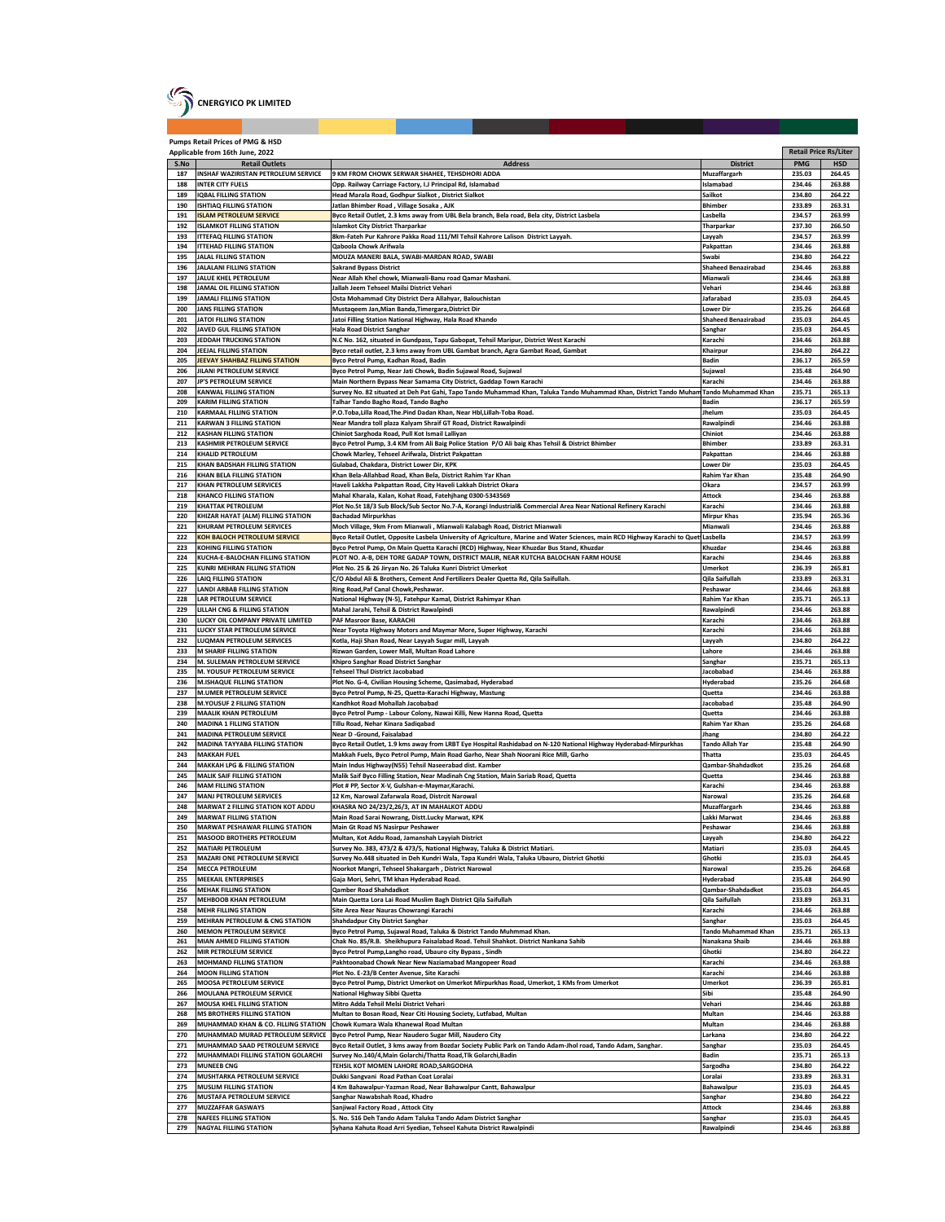|            | <b>CNERGYICO PK LIMITED</b>                                              |                                                                                                                                                                                                                       |                                     |                  |                                            |
|------------|--------------------------------------------------------------------------|-----------------------------------------------------------------------------------------------------------------------------------------------------------------------------------------------------------------------|-------------------------------------|------------------|--------------------------------------------|
|            |                                                                          |                                                                                                                                                                                                                       |                                     |                  |                                            |
|            | Pumps Retail Prices of PMG & HSD                                         |                                                                                                                                                                                                                       |                                     |                  |                                            |
| S.NO       | Applicable from 16th June, 2022<br><b>Retail Outlets</b>                 | <b>Address</b>                                                                                                                                                                                                        | <b>District</b>                     | PMG              | <b>Retail Price Rs/Liter</b><br><b>HSD</b> |
| 187        | INSHAF WAZIRISTAN PETROLEUM SERVICE                                      | 9 KM FROM CHOWK SERWAR SHAHEE, TEHSDHORI ADDA                                                                                                                                                                         | Muzaffargarh                        | 235.03           | 264.45                                     |
| 188<br>189 | <b>INTER CITY FUELS</b><br><b>IQBAL FILLING STATION</b>                  | Opp. Railway Carriage Factory, I.J Principal Rd, Islamabad<br>Head Marala Road, Godhpur Sialkot, District Sialkot                                                                                                     | Islamabad<br>Sailkot                | 234.46<br>234.80 | 263.88<br>264.22                           |
| 190        | <b>ISHTIAQ FILLING STATION</b>                                           | Jatlan Bhimber Road, Village Sosaka, AJK                                                                                                                                                                              | <b>Bhimber</b>                      | 233.89           | 263.31                                     |
| 191        | <b>ISLAM PETROLEUM SERVICE</b>                                           | Byco Retail Outlet, 2.3 kms away from UBL Bela branch, Bela road, Bela city, District Lasbela                                                                                                                         | Lasbella                            | 234.57           | 263.99                                     |
| 192<br>193 | <b>ISLAMKOT FILLING STATION</b><br><b>ITTEFAQ FILLING STATION</b>        | <b>Islamkot City District Tharparkar</b><br>8km-Fateh Pur Kahrore Pakka Road 111/MI Tehsil Kahrore Lalison District Layyah.                                                                                           | Tharparkar<br>Layyah                | 237.30<br>234.57 | 266.50<br>263.99                           |
| 194        | <b>ITTEHAD FILLING STATION</b>                                           | Qaboola Chowk Arifwala                                                                                                                                                                                                | Pakpattan                           | 234.46           | 263.88                                     |
| 195<br>196 | <b>JALAL FILLING STATION</b><br><b>JALALANI FILLING STATION</b>          | MOUZA MANERI BALA, SWABI-MARDAN ROAD, SWABI<br><b>Sakrand Bypass District</b>                                                                                                                                         | Swabi<br><b>Shaheed Benazirabad</b> | 234.80<br>234.46 | 264.22<br>263.88                           |
| 197        | <b>JALUE KHEL PETROLEUM</b>                                              | Near Allah Khel chowk, Mianwali-Banu road Qamar Mashani.                                                                                                                                                              | Mianwali                            | 234.46           | 263.88                                     |
| 198        | <b>JAMAL OIL FILLING STATION</b>                                         | Jallah Jeem Tehseel Mailsi District Vehari                                                                                                                                                                            | Vehari                              | 234.46           | 263.88                                     |
| 199<br>200 | <b>JAMALI FILLING STATION</b><br><b>JANS FILLING STATION</b>             | Osta Mohammad City District Dera Allahyar, Balouchistan<br>Mustaqeem Jan, Mian Banda, Timergara, District Dir                                                                                                         | Jafarabad<br><b>Lower Direct</b>    | 235.03<br>235.26 | 264.45<br>264.68                           |
| 201        | <b>JATOI FILLING STATION</b>                                             | Jatoi Filling Station National Highway, Hala Road Khando                                                                                                                                                              | <b>Shaheed Benazirabad</b>          | 235.03           | 264.45                                     |
| 202        | <b>JAVED GUL FILLING STATION</b>                                         | <b>Hala Road District Sanghar</b>                                                                                                                                                                                     | Sanghar                             | 235.03           | 264.45                                     |
| 203<br>204 | <b>JEDDAH TRUCKING STATION</b><br>JEEJAL FILLING STATION                 | N.C No. 162, situated in Gundpass, Tapu Gabopat, Tehsil Maripur, District West Karachi<br>Byco retail outlet, 2.3 kms away from UBL Gambat branch, Agra Gambat Road, Gambat                                           | Karachi<br>Khairpur                 | 234.46<br>234.80 | 263.88<br>264.22                           |
| 205        | JEEVAY SHAHBAZ FILLING STATION                                           | Byco Petrol Pump, Kadhan Road, Badin                                                                                                                                                                                  | <b>Badin</b>                        | 236.17           | 265.59                                     |
| 206<br>207 | JILANI PETROLEUM SERVICE                                                 | Byco Petrol Pump, Near Jati Chowk, Badin Sujawal Road, Sujawal                                                                                                                                                        | Sujawal                             | 235.48           | 264.90                                     |
| 208        | JP'S PETROLEUM SERVICE<br><b>KANWAL FILLING STATION</b>                  | Main Northern Bypass Near Samama City District, Gaddap Town Karachi<br>Survey No. 82 situated at Deh Pat Gahi, Tapo Tando Muhammad Khan, Taluka Tando Muhammad Khan, District Tando Muham Tando Muhammad Khan         | Karachi                             | 234.46<br>235.71 | 263.88<br>265.13                           |
| 209        | <b>KARIM FILLING STATION</b>                                             | Talhar Tando Bagho Road, Tando Bagho                                                                                                                                                                                  | <b>Badin</b>                        | 236.17           | 265.59                                     |
| 210<br>211 | <b>KARMAAL FILLING STATION</b><br><b>KARWAN 3 FILLING STATION</b>        | P.O.Toba, Lilla Road, The.Pind Dadan Khan, Near Hbl, Lillah-Toba Road.<br>Near Mandra toll plaza Kalvam Shraif GT Road, District Rawalpindi                                                                           | Jhelum<br>Rawalpindi                | 235.03<br>234.46 | 264.45<br>263.88                           |
| 212        | <b>KASHAN FILLING STATION</b>                                            | Chiniot Sarghoda Road, Pull Kot Ismail Lalliyan                                                                                                                                                                       | Chiniot                             | 234.46           | 263.88                                     |
| 213        | KASHMIR PETROLEUM SERVICE                                                | Byco Petrol Pump, 3.4 KM from Ali Baig Police Station P/O Ali baig Khas Tehsil & District Bhimber                                                                                                                     | <b>Bhimber</b>                      | 233.89           | 263.31                                     |
| 214<br>215 | <b>KHALID PETROLEUM</b><br>KHAN BADSHAH FILLING STATION                  | Chowk Marley, Tehseel Arifwala, District Pakpattan<br>Gulabad, Chakdara, District Lower Dir, KPK                                                                                                                      | Pakpattan<br><b>Lower Dir</b>       | 234.46<br>235.03 | 263.88<br>264.45                           |
| 216        | <b>KHAN BELA FILLING STATION</b>                                         | Khan Bela-Allahbad Road, Khan Bela, District Rahim Yar Khan                                                                                                                                                           | Rahim Yar Khan                      | 235.48           | 264.90                                     |
| 217        | <b>KHAN PETROLEUM SERVICES</b>                                           | Haveli Lakkha Pakpattan Road, City Haveli Lakkah District Okara                                                                                                                                                       | Okara                               | 234.57           | 263.99                                     |
| 218<br>219 | <b>KHANCO FILLING STATION</b><br><b>KHATTAK PETROLEUM</b>                | Mahal Kharala, Kalan, Kohat Road, Fatehjhang 0300-5343569<br>Plot No.St 18/3 Sub Block/Sub Sector No.7-A, Korangi Industrial& Commercial Area Near National Refinery Karachi                                          | Attock<br>Karachi                   | 234.46<br>234.46 | 263.88<br>263.88                           |
| 220        | KHIZAR HAYAT (ALM) FILLING STATION                                       | <b>Bachadad Mirpurkhas</b>                                                                                                                                                                                            | <b>Mirpur Khas</b>                  | 235.94           | 265.36                                     |
| 221        | KHURAM PETROLEUM SERVICES                                                | Moch Village, 9km From Mianwali, Mianwali Kalabagh Road, District Mianwali                                                                                                                                            | Mianwali                            | 234.46           | 263.88                                     |
| 222<br>223 | KOH BALOCH PETROLEUM SERVICE<br><b>KOHING FILLING STATION</b>            | Byco Retail Outlet, Opposite Lasbela University of Agriculture, Marine and Water Sciences, main RCD Highway Karachi to Que<br>Byco Petrol Pump, On Main Quetta Karachi (RCD) Highway, Near Khuzdar Bus Stand, Khuzdar | Lasbella<br>Khuzdar                 | 234.57<br>234.46 | 263.99<br>263.88                           |
| 224        | KUCHA-E-BALOCHAN FILLING STATION                                         | PLOT NO. A-B, DEH TORE GADAP TOWN, DISTRICT MALIR, NEAR KUTCHA BALOCHAN FARM HOUSE                                                                                                                                    | Karachi                             | 234.46           | 263.88                                     |
| 225<br>226 | <b>KUNRI MEHRAN FILLING STATION</b><br><b>LAIQ FILLING STATION</b>       | Plot No. 25 & 26 Jiryan No. 26 Taluka Kunri District Umerkot<br>C/O Abdul Ali & Brothers, Cement And Fertilizers Dealer Quetta Rd, Qila Saifullah.                                                                    | Umerkot<br>Qila Saifullah           | 236.39<br>233.89 | 265.81<br>263.31                           |
| 227        | <b>LANDI ARBAB FILLING STATION</b>                                       | Ring Road, Paf Canal Chowk, Peshawar.                                                                                                                                                                                 | Peshawar                            | 234.46           | 263.88                                     |
| 228        | LAR PETROLEUM SERVICE                                                    | National Highway (N-5), Fatehpur Kamal, District Rahimyar Khan                                                                                                                                                        | Rahim Yar Khan                      | 235.71           | 265.13                                     |
| 229<br>230 | LILLAH CNG & FILLING STATION<br>LUCKY OIL COMPANY PRIVATE LIMITED        | Mahal Jarahi, Tehsil & District Rawalpindi<br>PAF Masroor Base, KARACHI                                                                                                                                               | Rawalpindi<br>Karachi               | 234.46<br>234.46 | 263.88<br>263.88                           |
| 231        | LUCKY STAR PETROLEUM SERVICE                                             | Near Toyota Highway Motors and Maymar More, Super Highway, Karachi                                                                                                                                                    | Karachi                             | 234.46           | 263.88                                     |
| 232<br>233 | LUQMAN PETROLEUM SERVICES<br><b>M SHARIF FILLING STATION</b>             | Kotla, Haji Shan Road, Near Layyah Sugar mill, Layyah                                                                                                                                                                 | Layyah<br>Lahore                    | 234.80<br>234.46 | 264.22<br>263.88                           |
| 234        | M. SULEMAN PETROLEUM SERVICE                                             | Rizwan Garden, Lower Mall, Multan Road Lahore<br>Khipro Sanghar Road District Sanghar                                                                                                                                 | Sanghar                             | 235.71           | 265.13                                     |
| 235        | M. YOUSUF PETROLEUM SERVICE                                              | <b>Tehseel Thul District Jacobabad</b>                                                                                                                                                                                | Jacobabad                           | 234.46           | 263.88                                     |
| 236<br>237 | <b>M.ISHAQUE FILLING STATION</b><br><b>M.UMER PETROLEUM SERVICE</b>      | Plot No. G-4, Civilian Housing Scheme, Qasimabad, Hyderabad<br>Byco Petrol Pump, N-25, Quetta-Karachi Highway, Mastung                                                                                                | Hyderabad<br>Quetta                 | 235.26<br>234.46 | 264.68<br>263.88                           |
| 238        | <b>M.YOUSUF 2 FILLING STATION</b>                                        | Kandhkot Road Mohallah Jacobabad                                                                                                                                                                                      | Jacobabad                           | 235.48           | 264.90                                     |
| 239        | <b>MAALIK KHAN PETROLEUM</b>                                             | Byco Petrol Pump - Labour Colony, Nawai Killi, New Hanna Road, Quetta                                                                                                                                                 | Quetta                              | 234.46           | 263.88                                     |
| 240<br>241 | <b>MADINA 1 FILLING STATION</b><br><b>MADINA PETROLEUM SERVICE</b>       | Tillu Road, Nehar Kinara Sadiqabad<br>Near D -Ground, Faisalabad                                                                                                                                                      | Rahim Yar Khan<br>Jhang             | 235.26<br>234.80 | 264.68<br>264.22                           |
| 242        | <b>MADINA TAYYABA FILLING STATION</b>                                    | Byco Retail Outlet, 1.9 kms away from LRBT Eye Hospital Rashidabad on N-120 National Highway Hyderabad-Mirpurkhas                                                                                                     | <b>Tando Allah Yar</b>              | 235.48           | 264.90                                     |
| 243<br>244 | <b>MAKKAH FUEL</b><br><b>MAKKAH LPG &amp; FILLING STATION</b>            | Makkah Fuels, Byco Petrol Pump, Main Road Garho, Near Shah Noorani Rice Mill, Garho                                                                                                                                   | Thatta<br>Qambar-Shahdadkot         | 235.03<br>235.26 | 264.45<br>264.68                           |
|            | <b>MALIK SAIF FILLING STATION</b>                                        | Main Indus Highway(N55) Tehsil Naseerabad dist. Kamber<br>Malik Saif Byco Filling Station, Near Madinah Cng Station, Main Sariab Road, Quetta                                                                         | Quetta                              | 234.46           | 263.88                                     |
| 246        | <b>MAM FILLING STATION</b>                                               | Plot # PP, Sector X-V, Gulshan-e-Maymar, Karachi.                                                                                                                                                                     | Karachi                             | 234.46           | 263.88                                     |
| 247<br>248 | <b>MANJ PETROLEUM SERVICES</b><br>MARWAT 2 FILLING STATION KOT ADDU      | 12 Km, Narowal Zafarwala Road, Distrcit Narowal<br>KHASRA NO 24/23/2,26/3, AT IN MAHALKOT ADDU                                                                                                                        | Narowal<br>Muzaffargarh             | 235.26<br>234.46 | 264.68<br>263.88                           |
| 249        | <b>MARWAT FILLING STATION</b>                                            | Main Road Sarai Nowrang, Distt.Lucky Marwat, KPK                                                                                                                                                                      | Lakki Marwat                        | 234.46           | 263.88                                     |
| 250<br>251 | <b>MARWAT PESHAWAR FILLING STATION</b><br>MASOOD BROTHERS PETROLEUM      | Main Gt Road N5 Nasirpur Peshawer<br>Multan, Kot Addu Road, Jamanshah Layyiah District                                                                                                                                | Peshawar<br>Layyah                  | 234.46<br>234.80 | 263.88<br>264.22                           |
| 252        | <b>MATIARI PETROLEUM</b>                                                 | Survey No. 383, 473/2 & 473/5, National Highway, Taluka & District Matiari.                                                                                                                                           | Matiari                             | 235.03           | 264.45                                     |
| 253        | MAZARI ONE PETROLEUM SERVICE                                             | Survey No.448 situated in Deh Kundri Wala, Tapa Kundri Wala, Taluka Ubauro, District Ghotki                                                                                                                           | Ghotki                              | 235.03           | 264.45                                     |
| 254<br>255 | <b>MECCA PETROLEUM</b><br><b>MEEKAIL ENTERPRISES</b>                     | Noorkot Mangri, Tehseel Shakargarh, District Narowal<br>Gaja Mori, Sehri, TM khan Hyderabad Road.                                                                                                                     | Narowal<br>Hyderabad                | 235.26<br>235.48 | 264.68<br>264.90                           |
| 256        | <b>MEHAK FILLING STATION</b>                                             | <b>Qamber Road Shahdadkot</b>                                                                                                                                                                                         | Qambar-Shahdadkot                   | 235.03           | 264.45                                     |
| 257        | MEHBOOB KHAN PETROLEUM                                                   | Main Quetta Lora Lai Road Muslim Bagh District Qila Saifullah                                                                                                                                                         | Qila Saifullah                      | 233.89           | 263.31                                     |
| 258<br>259 | <b>MEHR FILLING STATION</b><br><b>MEHRAN PETROLEUM &amp; CNG STATION</b> | Site Area Near Nauras Chowrangi Karachi<br>Shahdadpur City District Sanghar                                                                                                                                           | Karachi<br>Sanghar                  | 234.46<br>235.03 | 263.88<br>264.45                           |
| 260        | <b>MEMON PETROLEUM SERVICE</b>                                           | Byco Petrol Pump, Sujawal Road, Taluka & District Tando Muhmmad Khan.                                                                                                                                                 | <b>Tando Muhammad Khan</b>          | 235.71           | 265.13                                     |
| 261<br>262 | <b>MIAN AHMED FILLING STATION</b><br>MIR PETROLEUM SERVICE               | Chak No. 85/R.B. Sheikhupura Faisalabad Road. Tehsil Shahkot. District Nankana Sahib<br>Byco Petrol Pump, Langho road, Ubauro city Bypass, Sindh                                                                      | Nanakana Shaib<br>Ghotki            | 234.46<br>234.80 | 263.88<br>264.22                           |
| 263        | <b>MOHMAND FILLING STATION</b>                                           | Pakhtoonabad Chowk Near New Naziamabad Mangopeer Road                                                                                                                                                                 | Karachi                             | 234.46           | 263.88                                     |
| 264        | <b>MOON FILLING STATION</b>                                              | Plot No. E-23/B Center Avenue, Site Karachi                                                                                                                                                                           | Karachi                             | 234.46           | 263.88                                     |
| 265<br>266 | MOOSA PETROLEUM SERVICE<br>MOULANA PETROLEUM SERVICE                     | Byco Petrol Pump, District Umerkot on Umerkot Mirpurkhas Road, Umerkot, 1 KMs from Umerkot<br>National Highway Sibbi Quetta                                                                                           | Umerkot<br>Sibi                     | 236.39<br>235.48 | 265.81<br>264.90                           |
| 267        | MOUSA KHEL FILLING STATION                                               | Mitro Adda Tehsil Melsi District Vehari                                                                                                                                                                               | Vehari                              | 234.46           | 263.88                                     |
| 268        | <b>MS BROTHERS FILLING STATION</b>                                       | Multan to Bosan Road, Near Citi Housing Society, Lutfabad, Multan                                                                                                                                                     | Multan                              | 234.46           | 263.88                                     |
| 269<br>270 | MUHAMMAD KHAN & CO. FILLING STATION<br>MUHAMMAD MURAD PETROLEUM SERVICE  | Chowk Kumara Wala Khanewal Road Multan<br>Byco Petrol Pump, Near Naudero Sugar Mill, Naudero City                                                                                                                     | Multan<br>Larkana                   | 234.46<br>234.80 | 263.88<br>264.22                           |
| 271        | MUHAMMAD SAAD PETROLEUM SERVICE                                          | Byco Retail Outlet, 3 kms away from Bozdar Society Public Park on Tando Adam-Jhol road, Tando Adam, Sanghar.                                                                                                          | Sanghar                             | 235.03           | 264.45                                     |
| 272        | MUHAMMADI FILLING STATION GOLARCHI                                       | Survey No.140/4, Main Golarchi/Thatta Road, Tlk Golarchi, Badin                                                                                                                                                       | Badin                               | 235.71           | 265.13                                     |
| 273<br>274 | <b>MUNEEB CNG</b><br>MUSHTARKA PETROLEUM SERVICE                         | TEHSIL KOT MOMEN LAHORE ROAD, SARGODHA<br>Dukki Sangvani Road Pathan Coat Loralai                                                                                                                                     | Sargodha<br>Loralai                 | 234.80<br>233.89 | 264.22<br>263.31                           |
| 275        | <b>MUSLIM FILLING STATION</b>                                            | 4 Km Bahawalpur-Yazman Road, Near Bahawalpur Cantt, Bahawalpur                                                                                                                                                        | Bahawalpur                          | 235.03           | 264.45                                     |
| 276<br>277 | MUSTAFA PETROLEUM SERVICE<br><b>MUZZAFFAR GASWAYS</b>                    | Sanghar Nawabshah Road, Khadro<br>Sanjiwal Factory Road, Attock City                                                                                                                                                  | Sanghar<br><b>Attock</b>            | 234.80<br>234.46 | 264.22<br>263.88                           |
| 278        | <b>NAFEES FILLING STATION</b>                                            | S. No. 516 Deh Tando Adam Taluka Tando Adam District Sanghar                                                                                                                                                          | Sanghar                             | 235.03           | 264.45                                     |
| 279        | <b>NAGYAL FILLING STATION</b>                                            | Syhana Kahuta Road Arri Syedian, Tehseel Kahuta District Rawalpindi                                                                                                                                                   | Rawalpindi                          | 234.46           | 263.88                                     |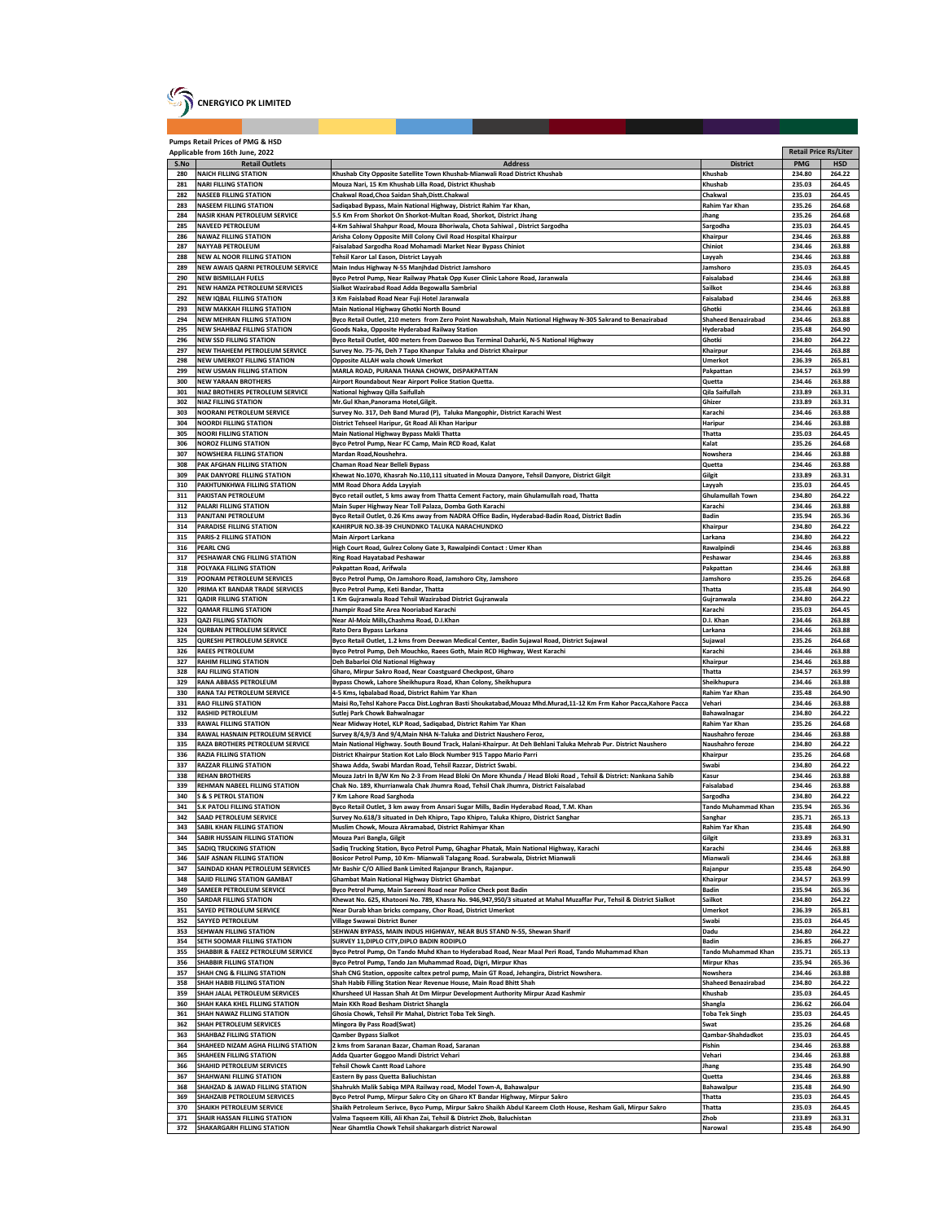|            | Pumps Retail Prices of PMG & HSD                                   |                                                                                                                                                 |                            |                  |                              |
|------------|--------------------------------------------------------------------|-------------------------------------------------------------------------------------------------------------------------------------------------|----------------------------|------------------|------------------------------|
|            | Applicable from 16th June, 2022                                    |                                                                                                                                                 |                            |                  | <b>Retail Price Rs/Liter</b> |
| S.No       | <b>Retail Outlets</b>                                              | <b>Address</b>                                                                                                                                  | <b>District</b>            | PMG              | <b>HSD</b>                   |
| 280        | <b>NAICH FILLING STATION</b>                                       | Khushab City Opposite Satellite Town Khushab-Mianwali Road District Khushab                                                                     | Khushab                    | 234.80           | 264.22                       |
| 281        | <b>NARI FILLING STATION</b>                                        | Mouza Nari, 15 Km Khushab Lilla Road, District Khushab                                                                                          | Khushab                    | 235.03           | 264.45                       |
| 282        | <b>NASEEB FILLING STATION</b>                                      | Chakwal Road, Choa Saidan Shah, Distt. Chakwal                                                                                                  | Chakwal                    | 235.03           | 264.45                       |
| 283        | <b>NASEEM FILLING STATION</b>                                      | Sadiqabad Bypass, Main National Highway, District Rahim Yar Khan,                                                                               | Rahim Yar Khan             | 235.26           | 264.68                       |
| 284<br>285 | <b>NASIR KHAN PETROLEUM SERVICE</b><br><b>NAVEED PETROLEUM</b>     | 5.5 Km From Shorkot On Shorkot-Multan Road, Shorkot, District Jhang                                                                             | Jhang                      | 235.26<br>235.03 | 264.68<br>264.45             |
| 286        | <b>NAWAZ FILLING STATION</b>                                       | 4-Km Sahiwal Shahpur Road, Mouza Bhoriwala, Chota Sahiwal, District Sargodha<br>Arisha Colony Opposite Mill Colony Civil Road Hospital Khairpur | Sargodha<br>Khairpur       | 234.46           | 263.88                       |
| 287        | <b>NAYYAB PETROLEUM</b>                                            | Faisalabad Sargodha Road Mohamadi Market Near Bypass Chiniot                                                                                    | Chiniot                    | 234.46           | 263.88                       |
| 288        | <b>NEW AL NOOR FILLING STATION</b>                                 | Tehsil Karor Lal Eason, District Layyah                                                                                                         | Layyah                     | 234.46           | 263.88                       |
| 289        | NEW AWAIS QARNI PETROLEUM SERVICE                                  | Main Indus Highway N-55 Manjhdad District Jamshoro                                                                                              | Jamshoro                   | 235.03           | 264.45                       |
| 290        | <b>NEW BISMILLAH FUELS</b>                                         | Byco Petrol Pump, Near Railway Phatak Opp Kuser Clinic Lahore Road, Jaranwala                                                                   | Faisalabad                 | 234.46           | 263.88                       |
| 291        | NEW HAMZA PETROLEUM SERVICES                                       | Sialkot Wazirabad Road Adda Begowalla Sambrial                                                                                                  | Sailkot                    | 234.46           | 263.88                       |
| 292        | <b>NEW IQBAL FILLING STATION</b>                                   | 3 Km Faislabad Road Near Fuji Hotel Jaranwala                                                                                                   | Faisalabad                 | 234.46           | 263.88                       |
| 293        | <b>NEW MAKKAH FILLING STATION</b>                                  | Main National Highway Ghotki North Bound                                                                                                        | Ghotki                     | 234.46           | 263.88                       |
| 294        | <b>NEW MEHRAN FILLING STATION</b>                                  | Byco Retail Outlet, 210 meters from Zero Point Nawabshah, Main National Highway N-305 Sakrand to Benazirabad                                    | <b>Shaheed Benazirabad</b> | 234.46           | 263.88                       |
| 295        | <b>NEW SHAHBAZ FILLING STATION</b>                                 | Goods Naka, Opposite Hyderabad Railway Station                                                                                                  | Hyderabad                  | 235.48           | 264.90                       |
| 296        | <b>NEW SSD FILLING STATION</b>                                     | Byco Retail Outlet, 400 meters from Daewoo Bus Terminal Daharki, N-5 National Highway                                                           | Ghotki                     | 234.80           | 264.22                       |
| 297        | NEW THAHEEM PETROLEUM SERVICE                                      | Survey No. 75-76, Deh 7 Tapo Khanpur Taluka and District Khairpur                                                                               | Khairpur                   | 234.46           | 263.88                       |
| 298        | <b>NEW UMERKOT FILLING STATION</b>                                 | Opposite ALLAH wala chowk Umerkot                                                                                                               | Umerkot                    | 236.39           | 265.81                       |
| 299        | <b>NEW USMAN FILLING STATION</b>                                   | MARLA ROAD, PURANA THANA CHOWK, DISPAKPATTAN                                                                                                    | Pakpattan                  | 234.57           | 263.99                       |
| 300        | <b>NEW YARAAN BROTHERS</b>                                         | Airport Roundabout Near Airport Police Station Quetta.                                                                                          | Quetta                     | 234.46           | 263.88                       |
| 301        | NIAZ BROTHERS PETROLEUM SERVICE                                    | National highway Qilla Saifullah                                                                                                                | Qila Saifullah             | 233.89           | 263.31                       |
| 302        | <b>NIAZ FILLING STATION</b>                                        | Mr.Gul Khan, Panorama Hotel, Gilgit.                                                                                                            | Ghizer                     | 233.89           | 263.31                       |
| 303        | NOORANI PETROLEUM SERVICE                                          | Survey No. 317, Deh Band Murad (P), Taluka Mangophir, District Karachi West                                                                     | Karachi                    | 234.46           | 263.88                       |
| 304        | <b>NOORDI FILLING STATION</b>                                      | District Tehseel Haripur, Gt Road Ali Khan Haripur                                                                                              | Haripur                    | 234.46           | 263.88                       |
| 305        | <b>NOORI FILLING STATION</b>                                       | Main National Highway Bypass Makli Thatta                                                                                                       | Thatta                     | 235.03           | 264.45                       |
| 306        | <b>NOROZ FILLING STATION</b>                                       | Byco Petrol Pump, Near FC Camp, Main RCD Road, Kalat                                                                                            | Kalat                      | 235.26           | 264.68                       |
| 307        | <b>NOWSHERA FILLING STATION</b>                                    | Mardan Road, Noushehra.                                                                                                                         | Nowshera                   | 234.46           | 263.88                       |
| 308        | PAK AFGHAN FILLING STATION                                         | Chaman Road Near Belleli Bypass                                                                                                                 | Quetta                     | 234.46           | 263.88                       |
| 309        | PAK DANYORE FILLING STATION                                        | Khewat No.1070, Khasrah No.110,111 situated in Mouza Danyore, Tehsil Danyore, District Gilgit                                                   | Gilgit                     | 233.89           | 263.31                       |
| 310        | PAKHTUNKHWA FILLING STATION                                        | MM Road Dhora Adda Layyiah                                                                                                                      | Layyah                     | 235.03           | 264.45                       |
| 311        | PAKISTAN PETROLEUM                                                 | Byco retail outlet, 5 kms away from Thatta Cement Factory, main Ghulamullah road, Thatta                                                        | <b>Ghulamullah Town</b>    | 234.80           | 264.22                       |
| 312        | <b>PALARI FILLING STATION</b>                                      | Main Super Highway Near Toll Palaza, Domba Goth Karachi                                                                                         | Karachi                    | 234.46           | 263.88                       |
| 313        | PANJTANI PETROLEUM                                                 | Byco Retail Outlet, 0.26 Kms away from NADRA Office Badin, Hyderabad-Badin Road, District Badin                                                 | Badin                      | 235.94           | 265.36                       |
| 314        | <b>PARADISE FILLING STATION</b>                                    | KAHIRPUR NO.38-39 CHUNDNKO TALUKA NARACHUNDKO                                                                                                   | Khairpur                   | 234.80           | 264.22                       |
| 315        | PARIS-2 FILLING STATION                                            | Main Airport Larkana                                                                                                                            | Larkana                    | 234.80           | 264.22                       |
| 316        | <b>PEARL CNG</b>                                                   | High Court Road, Gulrez Colony Gate 3, Rawalpindi Contact : Umer Khan                                                                           | Rawalpindi                 | 234.46           | 263.88                       |
| 317        | PESHAWAR CNG FILLING STATION                                       | Ring Road Hayatabad Peshawar                                                                                                                    | Peshawar                   | 234.46           | 263.88                       |
| 318        | POLYAKA FILLING STATION                                            | Pakpattan Road, Arifwala                                                                                                                        | Pakpattan                  | 234.46           | 263.88                       |
| 319        | POONAM PETROLEUM SERVICES                                          | Byco Petrol Pump, On Jamshoro Road, Jamshoro City, Jamshoro                                                                                     | Jamshoro                   | 235.26           | 264.68                       |
| 320        | PRIMA KT BANDAR TRADE SERVICES                                     | Byco Petrol Pump, Keti Bandar, Thatta                                                                                                           | Thatta                     | 235.48           | 264.90                       |
| 321        | <b>QADIR FILLING STATION</b>                                       | 1 Km Gujranwala Road Tehsil Wazirabad District Gujranwala                                                                                       | Gujranwala                 | 234.80           | 264.22                       |
| 322        | <b>QAMAR FILLING STATION</b>                                       | Jhampir Road Site Area Nooriabad Karachi                                                                                                        | Karachi                    | 235.03           | 264.45                       |
| 323        | <b>QAZI FILLING STATION</b>                                        | Near Al-Moiz Mills, Chashma Road, D.I.Khan                                                                                                      | D.I. Khan                  | 234.46           | 263.88                       |
| 324        | <b>QURBAN PETROLEUM SERVICE</b>                                    | Rato Dera Bypass Larkana                                                                                                                        | Larkana                    | 234.46           | 263.88                       |
| 325        | <b>QURESHI PETROLEUM SERVICE</b>                                   | Byco Retail Outlet, 1.2 kms from Deewan Medical Center, Badin Sujawal Road, District Sujawal                                                    | Sujawal                    | 235.26           | 264.68                       |
| 326        | <b>RAEES PETROLEUM</b>                                             | Byco Petrol Pump, Deh Mouchko, Raees Goth, Main RCD Highway, West Karachi                                                                       | Karachi                    | 234.46           | 263.88                       |
| 327        | <b>RAHIM FILLING STATION</b>                                       | Deh Babarloi Old National Highway                                                                                                               | Khairpur                   | 234.46           | 263.88                       |
| 328        | <b>RAJ FILLING STATION</b>                                         | Gharo, Mirpur Sakro Road, Near Coastguard Checkpost, Gharo                                                                                      | Thatta                     | 234.57           | 263.99                       |
| 329        | <b>RANA ABBASS PETROLEUM</b>                                       | Bypass Chowk, Lahore Sheikhupura Road, Khan Colony, Sheikhupura                                                                                 | Sheikhupura                | 234.46           | 263.88                       |
| 330        | RANA TAJ PETROLEUM SERVICE                                         | 4-5 Kms, Iqbalabad Road, District Rahim Yar Khan                                                                                                | Rahim Yar Khan             | 235.48           |                              |
| 331        | <b>RAO FILLING STATION</b>                                         |                                                                                                                                                 |                            |                  | 264.90                       |
|            |                                                                    | Maisi Ro,Tehsl Kahore Pacca Dist.Loghran Basti Shoukatabad,Mouaz Mhd.Murad,11-12 Km Frm Kahor Pacca,Kahore Pacca                                | Vehari                     | 234.46           | 263.88                       |
| 332        | <b>RASHID PETROLEUM</b>                                            | Sutlej Park Chowk Bahwalnagar                                                                                                                   | Bahawalnagar               | 234.80           | 264.22                       |
| 333        | <b>RAWAL FILLING STATION</b>                                       | Near Midway Hotel, KLP Road, Sadiqabad, District Rahim Yar Khan                                                                                 | Rahim Yar Khan             | 235.26           | 264.68                       |
| 334        | RAWAL HASNAIN PETROLEUM SERVICE                                    | Survey 8/4,9/3 And 9/4, Main NHA N-Taluka and District Naushero Feroz,                                                                          | Naushahro feroze           | 234.46           | 263.88                       |
| 335        | RAZA BROTHERS PETROLEUM SERVICE                                    | Main National Highway. South Bound Track, Halani-Khairpur. At Deh Behlani Taluka Mehrab Pur. District Naushero                                  | Naushahro feroze           | 234.80           | 264.22                       |
| 336        | <b>RAZIA FILLING STATION</b>                                       | District Khairpur Station Kot Lalo Block Number 915 Tappo Mario Parri                                                                           | Khairpur                   | 235.26           | 264.68                       |
| 337        | <b>RAZZAR FILLING STATION</b>                                      | Shawa Adda, Swabi Mardan Road, Tehsil Razzar, District Swabi.                                                                                   | Swabi                      | 234.80           | 264.22                       |
|            | <b>REHAN BROTHERS</b>                                              | Mouza Jatri In B/W Km No 2-3 From Head Bloki On More Khunda / Head Bloki Road , Tehsil & District: Nankana Sahit                                | Kasur                      | 234.46           | 263.88                       |
| 339        | REHMAN NABEEL FILLING STATION                                      | Chak No. 189, Khurrianwala Chak Jhumra Road, Tehsil Chak Jhumra, District Faisalabad                                                            | Faisalabad                 | 234.46           | 263.88                       |
| 340        | <b>S &amp; S PETROL STATION</b>                                    | 7 Km Lahore Road Sarghoda                                                                                                                       | Sargodha                   | 234.80           | 264.22                       |
| 341        | <b>S.K PATOLI FILLING STATION</b>                                  | Byco Retail Outlet, 3 km away from Ansari Sugar Mills, Badin Hyderabad Road, T.M. Khan                                                          | Tando Muhammad Khan        | 235.94           | 265.36                       |
| 342        | SAAD PETROLEUM SERVICE                                             |                                                                                                                                                 | Sanghar                    | 235.71           | 265.13                       |
| 343        | SABIL KHAN FILLING STATION                                         | Survey No.618/3 situated in Deh Khipro, Tapo Khipro, Taluka Khipro, District Sanghar<br>Muslim Chowk, Mouza Akramabad, District Rahimyar Khan   | Rahim Yar Khan             | 235.48           | 264.90                       |
| 344        |                                                                    | Mouza Pari Bangla, Gilgit                                                                                                                       |                            |                  |                              |
|            | SABIR HUSSAIN FILLING STATION                                      | Sadiq Trucking Station, Byco Petrol Pump, Ghaghar Phatak, Main National Highway, Karachi                                                        | Gilgit                     | 233.89<br>234.46 | 263.31<br>263.88             |
| 345<br>346 | <b>SADIQ TRUCKING STATION</b><br>SAIF ASNAN FILLING STATION        |                                                                                                                                                 | Karachi                    |                  |                              |
|            |                                                                    | Bosicor Petrol Pump, 10 Km- Mianwali Talagang Road. Surabwala, District Mianwali                                                                | Mianwali                   | 234.46           | 263.88                       |
| 347        | SAINDAD KHAN PETROLEUM SERVICES                                    | Mr Bashir C/O Allied Bank Limited Rajanpur Branch, Rajanpur.                                                                                    | Rajanpur                   | 235.48           | 264.90                       |
| 348        | SAJID FILLING STATION GAMBAT                                       | <b>Ghambat Main National Highway District Ghambat</b>                                                                                           | Khairpur                   | 234.57           | 263.99<br>265.36             |
| 349        | SAMEER PETROLEUM SERVICE                                           | Byco Petrol Pump, Main Sareeni Road near Police Check post Badin                                                                                | Badin                      | 235.94           |                              |
| 350<br>351 | <b>SARDAR FILLING STATION</b>                                      | Khewat No. 625, Khatooni No. 789, Khasra No. 946,947,950/3 situated at Mahal Muzaffar Pur, Tehsil & District Sialkot                            | Sailkot                    | 234.80           | 264.22<br>265.81             |
|            | SAYED PETROLEUM SERVICE                                            | Near Durab khan bricks company, Chor Road, District Umerkot                                                                                     | Umerkot                    | 236.39           |                              |
| 352        | SAYYED PETROLEUM                                                   | <b>Village Swawai District Buner</b>                                                                                                            | Swabi                      | 235.03           | 264.45                       |
| 353        | <b>SEHWAN FILLING STATION</b>                                      | SEHWAN BYPASS, MAIN INDUS HIGHWAY, NEAR BUS STAND N-55, Shewan Sharif                                                                           | Dadu                       | 234.80           | 264.22                       |
| 354        | SETH SOOMAR FILLING STATION                                        | SURVEY 11, DIPLO CITY, DIPLO BADIN RODIPLO                                                                                                      | Badin                      | 236.85           | 266.27                       |
| 355        | SHABBIR & FAEEZ PETROLEUM SERVICE                                  | Byco Petrol Pump, On Tando Muhd Khan to Hyderabad Road, Near Maal Peri Road, Tando Muhammad Khan                                                | <b>Tando Muhammad Khan</b> | 235.71           | 265.13                       |
| 356        | <b>SHABBIR FILLING STATION</b>                                     | Byco Petrol Pump, Tando Jan Muhammad Road, Digri, Mirpur Khas                                                                                   | <b>Mirpur Khas</b>         | 235.94           | 265.36                       |
| 357        | SHAH CNG & FILLING STATION                                         | Shah CNG Station, opposite caltex petrol pump, Main GT Road, Jehangira, District Nowshera.                                                      | Nowshera                   | 234.46           | 263.88                       |
| 358        | SHAH HABIB FILLING STATION                                         | Shah Habib Filling Station Near Revenue House, Main Road Bhitt Shah                                                                             | <b>Shaheed Benazirabad</b> | 234.80           | 264.22                       |
| 359        | SHAH JALAL PETROLEUM SERVICES                                      | Khursheed Ul Hassan Shah At Dm Mirpur Development Authority Mirpur Azad Kashmir                                                                 | Khushab                    | 235.03           | 264.45                       |
| 360        | SHAH KAKA KHEL FILLING STATION                                     | Main KKh Road Besham District Shangla                                                                                                           | Shangla                    | 236.62           | 266.04                       |
| 361        | SHAH NAWAZ FILLING STATION                                         | Ghosia Chowk, Tehsil Pir Mahal, District Toba Tek Singh.                                                                                        | <b>Toba Tek Singh</b>      | 235.03           | 264.45                       |
| 362        | SHAH PETROLEUM SERVICES                                            | Mingora By Pass Road(Swat)                                                                                                                      | Swat                       | 235.26           | 264.68                       |
| 363        | SHAHBAZ FILLING STATION                                            | Qamber Bypass Sialkot                                                                                                                           | Qambar-Shahdadkot          | 235.03           | 264.45                       |
| 364        | SHAHEED NIZAM AGHA FILLING STATION                                 | 2 kms from Saranan Bazar, Chaman Road, Saranan                                                                                                  | Pishin                     | 234.46           | 263.88                       |
| 365        | SHAHEEN FILLING STATION                                            | Adda Quarter Goggoo Mandi District Vehari                                                                                                       | Vehari                     | 234.46           | 263.88                       |
| 366        | SHAHID PETROLEUM SERVICES                                          | <b>Tehsil Chowk Cantt Road Lahore</b>                                                                                                           | Jhang                      | 235.48           | 264.90                       |
| 367<br>368 | <b>SHAHWANI FILLING STATION</b><br>SHAHZAD & JAWAD FILLING STATION | Eastern By pass Quetta Baliuchistan<br>Shahrukh Malik Sabiqa MPA Railway road, Model Town-A, Bahawalpur                                         | Quetta<br>Bahawalpur       | 234.46<br>235.48 | 263.88<br>264.90             |

**368 SHAHZAD & JAWAD FILLING STATION**<br> **369 SHAHZAD & JAWAD FILLING STATION**<br> **369 SHAHZAD & JAWAD FILLING STATION**<br> **369 SHAHZAD & JAWAD FILLING STATION**<br> **369** SHAHZAD RETROLEUM SERVICES<br> **369** SHAHZAD RETROLEUM 369 SHAHZAIB PETROLEUM SERVICES Byco Petrol Pump, Mirpur Sakro City on Gharo KT Bandar Highway, Mirpur Sakro<br>370 SHAIKH PETROLEUM SERVICE STABING PROTORUM INCORDING A SHARA SHANG SHANG MANGHANG ANG THATA 235.03 264.45<br>371